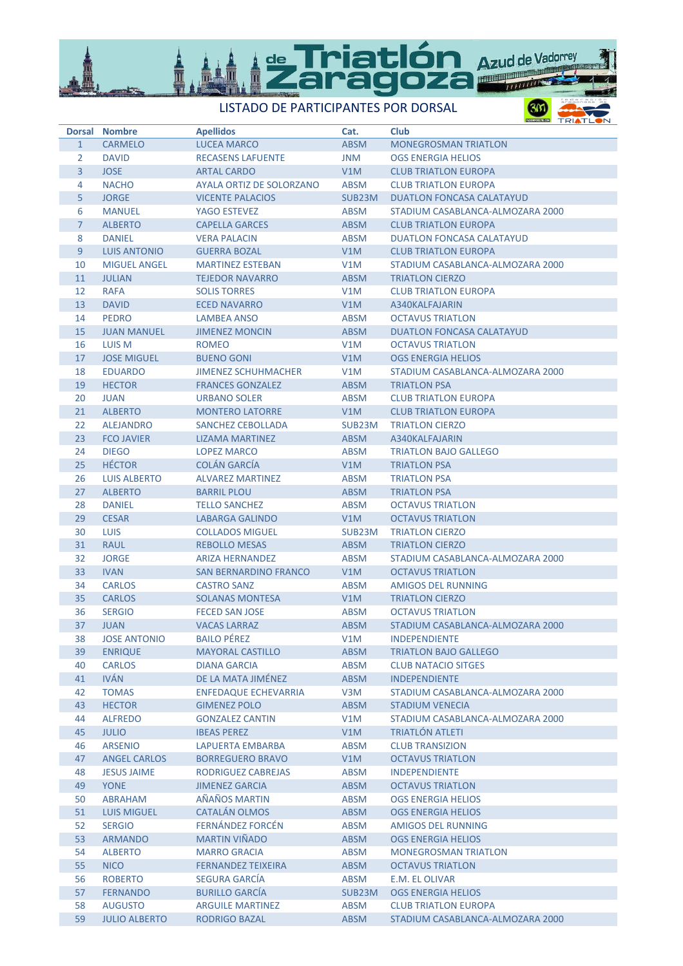

LISTADO DE PARTICIPANTES POR DORSAL

TRIAT

| <b>Dorsal</b>  | <b>Nombre</b>        | <b>Apellidos</b>             | Cat.                | <b>Club</b>                      |
|----------------|----------------------|------------------------------|---------------------|----------------------------------|
| $\mathbf{1}$   | <b>CARMELO</b>       | <b>LUCEA MARCO</b>           | <b>ABSM</b>         | <b>MONEGROSMAN TRIATLON</b>      |
| $\overline{2}$ | <b>DAVID</b>         | <b>RECASENS LAFUENTE</b>     | <b>JNM</b>          | <b>OGS ENERGIA HELIOS</b>        |
| $\overline{3}$ | <b>JOSE</b>          | <b>ARTAL CARDO</b>           | V1M                 | <b>CLUB TRIATLON EUROPA</b>      |
| 4              | <b>NACHO</b>         | AYALA ORTIZ DE SOLORZANO     | <b>ABSM</b>         | <b>CLUB TRIATLON EUROPA</b>      |
| 5              | <b>JORGE</b>         | <b>VICENTE PALACIOS</b>      | SUB <sub>23</sub> M | <b>DUATLON FONCASA CALATAYUD</b> |
| 6              | <b>MANUEL</b>        | YAGO ESTEVEZ                 | <b>ABSM</b>         | STADIUM CASABLANCA-ALMOZARA 2000 |
| $\mathcal{I}$  | <b>ALBERTO</b>       | <b>CAPELLA GARCES</b>        | <b>ABSM</b>         | <b>CLUB TRIATLON EUROPA</b>      |
| 8              | <b>DANIEL</b>        | <b>VERA PALACIN</b>          | <b>ABSM</b>         | <b>DUATLON FONCASA CALATAYUD</b> |
| 9              | <b>LUIS ANTONIO</b>  | <b>GUERRA BOZAL</b>          | V <sub>1</sub> M    | <b>CLUB TRIATLON EUROPA</b>      |
| 10             | <b>MIGUEL ANGEL</b>  | <b>MARTINEZ ESTEBAN</b>      | V1M                 | STADIUM CASABLANCA-ALMOZARA 2000 |
| 11             | <b>JULIAN</b>        | <b>TEJEDOR NAVARRO</b>       | <b>ABSM</b>         | <b>TRIATLON CIERZO</b>           |
| 12             | <b>RAFA</b>          | <b>SOLIS TORRES</b>          | V1M                 | <b>CLUB TRIATLON EUROPA</b>      |
| 13             | <b>DAVID</b>         | <b>ECED NAVARRO</b>          | V1M                 | A340KALFAJARIN                   |
| 14             | <b>PEDRO</b>         | <b>LAMBEA ANSO</b>           | <b>ABSM</b>         | <b>OCTAVUS TRIATLON</b>          |
| 15             | <b>JUAN MANUEL</b>   | <b>JIMENEZ MONCIN</b>        | <b>ABSM</b>         | <b>DUATLON FONCASA CALATAYUD</b> |
|                |                      |                              |                     | <b>OCTAVUS TRIATLON</b>          |
| 16             | <b>LUIS M</b>        | <b>ROMEO</b>                 | V1M                 |                                  |
| 17             | <b>JOSE MIGUEL</b>   | <b>BUENO GONI</b>            | V1M                 | <b>OGS ENERGIA HELIOS</b>        |
| 18             | <b>EDUARDO</b>       | <b>JIMENEZ SCHUHMACHER</b>   | V1M                 | STADIUM CASABLANCA-ALMOZARA 2000 |
| 19             | <b>HECTOR</b>        | <b>FRANCES GONZALEZ</b>      | <b>ABSM</b>         | <b>TRIATLON PSA</b>              |
| 20             | <b>JUAN</b>          | <b>URBANO SOLER</b>          | <b>ABSM</b>         | <b>CLUB TRIATLON EUROPA</b>      |
| 21             | <b>ALBERTO</b>       | <b>MONTERO LATORRE</b>       | V1M                 | <b>CLUB TRIATLON EUROPA</b>      |
| 22             | <b>ALEJANDRO</b>     | <b>SANCHEZ CEBOLLADA</b>     | SUB <sub>23</sub> M | <b>TRIATLON CIERZO</b>           |
| 23             | <b>FCO JAVIER</b>    | <b>LIZAMA MARTINEZ</b>       | <b>ABSM</b>         | A340KALFAJARIN                   |
| 24             | <b>DIEGO</b>         | <b>LOPEZ MARCO</b>           | <b>ABSM</b>         | <b>TRIATLON BAJO GALLEGO</b>     |
| 25             | <b>HÉCTOR</b>        | <b>COLÁN GARCÍA</b>          | V1M                 | <b>TRIATLON PSA</b>              |
| 26             | <b>LUIS ALBERTO</b>  | <b>ALVAREZ MARTINEZ</b>      | <b>ABSM</b>         | <b>TRIATLON PSA</b>              |
| 27             | <b>ALBERTO</b>       | <b>BARRIL PLOU</b>           | <b>ABSM</b>         | <b>TRIATLON PSA</b>              |
| 28             | <b>DANIEL</b>        | <b>TELLO SANCHEZ</b>         | <b>ABSM</b>         | <b>OCTAVUS TRIATLON</b>          |
| 29             | <b>CESAR</b>         | <b>LABARGA GALINDO</b>       | V <sub>1</sub> M    | <b>OCTAVUS TRIATLON</b>          |
| 30             | <b>LUIS</b>          | <b>COLLADOS MIGUEL</b>       | SUB23M              | <b>TRIATLON CIERZO</b>           |
| 31             | <b>RAUL</b>          | <b>REBOLLO MESAS</b>         | <b>ABSM</b>         | <b>TRIATLON CIERZO</b>           |
| 32             | <b>JORGE</b>         | <b>ARIZA HERNANDEZ</b>       | <b>ABSM</b>         | STADIUM CASABLANCA-ALMOZARA 2000 |
| 33             | <b>IVAN</b>          | <b>SAN BERNARDINO FRANCO</b> | V1M                 | <b>OCTAVUS TRIATLON</b>          |
| 34             | <b>CARLOS</b>        | <b>CASTRO SANZ</b>           | <b>ABSM</b>         | <b>AMIGOS DEL RUNNING</b>        |
| 35             | <b>CARLOS</b>        | <b>SOLANAS MONTESA</b>       | V1M                 | <b>TRIATLON CIERZO</b>           |
| 36             | <b>SERGIO</b>        | <b>FECED SAN JOSE</b>        | <b>ABSM</b>         | <b>OCTAVUS TRIATLON</b>          |
| 37             | <b>JUAN</b>          | <b>VACAS LARRAZ</b>          | <b>ABSM</b>         | STADIUM CASABLANCA-ALMOZARA 2000 |
| 38             | <b>JOSE ANTONIO</b>  | <b>BAILO PÉREZ</b>           | V1M                 | <b>INDEPENDIENTE</b>             |
| 39             | <b>ENRIQUE</b>       | <b>MAYORAL CASTILLO</b>      | <b>ABSM</b>         | <b>TRIATLON BAJO GALLEGO</b>     |
| 40             | <b>CARLOS</b>        | <b>DIANA GARCIA</b>          | <b>ABSM</b>         | <b>CLUB NATACIO SITGES</b>       |
| 41             | <b>IVÁN</b>          | DE LA MATA JIMÉNEZ           | <b>ABSM</b>         | <b>INDEPENDIENTE</b>             |
| 42             | <b>TOMAS</b>         | <b>ENFEDAQUE ECHEVARRIA</b>  | V3M                 | STADIUM CASABLANCA-ALMOZARA 2000 |
| 43             | <b>HECTOR</b>        | <b>GIMENEZ POLO</b>          | <b>ABSM</b>         | <b>STADIUM VENECIA</b>           |
| 44             | <b>ALFREDO</b>       | <b>GONZALEZ CANTIN</b>       | V1M                 | STADIUM CASABLANCA-ALMOZARA 2000 |
| 45             | <b>JULIO</b>         | <b>IBEAS PEREZ</b>           | V1M                 | <b>TRIATLÓN ATLETI</b>           |
| 46             | <b>ARSENIO</b>       | LAPUERTA EMBARBA             | <b>ABSM</b>         | <b>CLUB TRANSIZION</b>           |
| 47             | <b>ANGEL CARLOS</b>  | <b>BORREGUERO BRAVO</b>      | V1M                 | <b>OCTAVUS TRIATLON</b>          |
| 48             | <b>JESUS JAIME</b>   | RODRIGUEZ CABREJAS           | <b>ABSM</b>         | <b>INDEPENDIENTE</b>             |
| 49             | <b>YONE</b>          | <b>JIMENEZ GARCIA</b>        | <b>ABSM</b>         | <b>OCTAVUS TRIATLON</b>          |
| 50             | <b>ABRAHAM</b>       | AÑAÑOS MARTIN                | <b>ABSM</b>         | <b>OGS ENERGIA HELIOS</b>        |
| 51             | <b>LUIS MIGUEL</b>   | <b>CATALÁN OLMOS</b>         | <b>ABSM</b>         | <b>OGS ENERGIA HELIOS</b>        |
| 52             | <b>SERGIO</b>        | <b>FERNÁNDEZ FORCÉN</b>      | <b>ABSM</b>         | <b>AMIGOS DEL RUNNING</b>        |
| 53             | <b>ARMANDO</b>       | <b>MARTIN VIÑADO</b>         | <b>ABSM</b>         | <b>OGS ENERGIA HELIOS</b>        |
| 54             | <b>ALBERTO</b>       | <b>MARRO GRACIA</b>          | ABSM                | <b>MONEGROSMAN TRIATLON</b>      |
| 55             | <b>NICO</b>          | <b>FERNANDEZ TEIXEIRA</b>    | <b>ABSM</b>         | <b>OCTAVUS TRIATLON</b>          |
| 56             | <b>ROBERTO</b>       | <b>SEGURA GARCÍA</b>         | <b>ABSM</b>         | <b>E.M. EL OLIVAR</b>            |
| 57             | <b>FERNANDO</b>      | <b>BURILLO GARCÍA</b>        | SUB23M              | <b>OGS ENERGIA HELIOS</b>        |
| 58             | <b>AUGUSTO</b>       | <b>ARGUILE MARTINEZ</b>      | <b>ABSM</b>         | <b>CLUB TRIATLON EUROPA</b>      |
| 59             | <b>JULIO ALBERTO</b> | RODRIGO BAZAL                | <b>ABSM</b>         | STADIUM CASABLANCA-ALMOZARA 2000 |
|                |                      |                              |                     |                                  |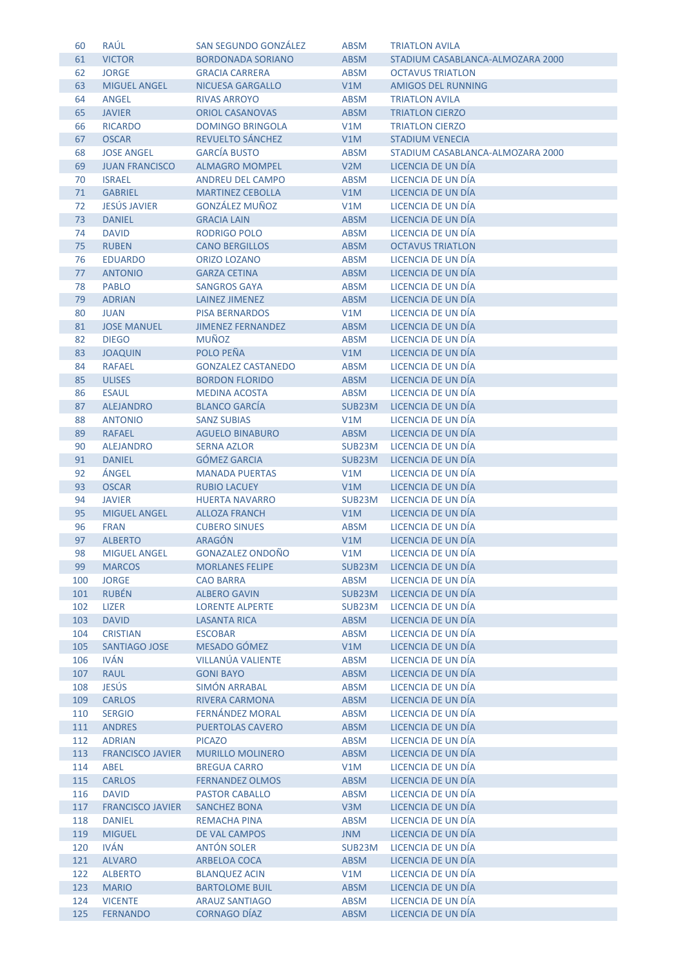| 60  | RAÚL                    | <b>SAN SEGUNDO GONZÁLEZ</b> | <b>ABSM</b> | <b>TRIATLON AVILA</b>            |
|-----|-------------------------|-----------------------------|-------------|----------------------------------|
| 61  | <b>VICTOR</b>           | <b>BORDONADA SORIANO</b>    | <b>ABSM</b> | STADIUM CASABLANCA-ALMOZARA 2000 |
| 62  | <b>JORGE</b>            | <b>GRACIA CARRERA</b>       | <b>ABSM</b> | <b>OCTAVUS TRIATLON</b>          |
| 63  | <b>MIGUEL ANGEL</b>     | <b>NICUESA GARGALLO</b>     | V1M         | <b>AMIGOS DEL RUNNING</b>        |
| 64  | <b>ANGEL</b>            | <b>RIVAS ARROYO</b>         | <b>ABSM</b> | <b>TRIATLON AVILA</b>            |
| 65  | <b>JAVIER</b>           | <b>ORIOL CASANOVAS</b>      | <b>ABSM</b> | <b>TRIATLON CIERZO</b>           |
| 66  | <b>RICARDO</b>          | <b>DOMINGO BRINGOLA</b>     | V1M         | <b>TRIATLON CIERZO</b>           |
| 67  | <b>OSCAR</b>            | REVUELTO SÁNCHEZ            | V1M         | <b>STADIUM VENECIA</b>           |
| 68  | <b>JOSE ANGEL</b>       | <b>GARCÍA BUSTO</b>         | <b>ABSM</b> | STADIUM CASABLANCA-ALMOZARA 2000 |
| 69  | <b>JUAN FRANCISCO</b>   | <b>ALMAGRO MOMPEL</b>       | V2M         | LICENCIA DE UN DÍA               |
| 70  | <b>ISRAEL</b>           | <b>ANDREU DEL CAMPO</b>     | <b>ABSM</b> | LICENCIA DE UN DÍA               |
| 71  | <b>GABRIEL</b>          | <b>MARTINEZ CEBOLLA</b>     | V1M         | LICENCIA DE UN DÍA               |
|     | <b>JESÚS JAVIER</b>     | <b>GONZÁLEZ MUÑOZ</b>       |             |                                  |
| 72  |                         |                             | V1M         | LICENCIA DE UN DÍA               |
| 73  | <b>DANIEL</b>           | <b>GRACIA LAIN</b>          | <b>ABSM</b> | LICENCIA DE UN DÍA               |
| 74  | <b>DAVID</b>            | <b>RODRIGO POLO</b>         | <b>ABSM</b> | LICENCIA DE UN DÍA               |
| 75  | <b>RUBEN</b>            | <b>CANO BERGILLOS</b>       | <b>ABSM</b> | <b>OCTAVUS TRIATLON</b>          |
| 76  | <b>EDUARDO</b>          | <b>ORIZO LOZANO</b>         | <b>ABSM</b> | LICENCIA DE UN DÍA               |
| 77  | <b>ANTONIO</b>          | <b>GARZA CETINA</b>         | <b>ABSM</b> | LICENCIA DE UN DÍA               |
| 78  | <b>PABLO</b>            | <b>SANGROS GAYA</b>         | <b>ABSM</b> | LICENCIA DE UN DÍA               |
| 79  | <b>ADRIAN</b>           | <b>LAINEZ JIMENEZ</b>       | <b>ABSM</b> | LICENCIA DE UN DÍA               |
| 80  | <b>JUAN</b>             | <b>PISA BERNARDOS</b>       | V1M         | LICENCIA DE UN DÍA               |
| 81  | <b>JOSE MANUEL</b>      | <b>JIMENEZ FERNANDEZ</b>    | <b>ABSM</b> | LICENCIA DE UN DÍA               |
| 82  | <b>DIEGO</b>            | <b>MUÑOZ</b>                | <b>ABSM</b> | LICENCIA DE UN DÍA               |
| 83  | <b>JOAQUIN</b>          | POLO PEÑA                   | V1M         | LICENCIA DE UN DÍA               |
| 84  | <b>RAFAEL</b>           | <b>GONZALEZ CASTANEDO</b>   | <b>ABSM</b> | LICENCIA DE UN DÍA               |
| 85  | <b>ULISES</b>           | <b>BORDON FLORIDO</b>       | <b>ABSM</b> | LICENCIA DE UN DÍA               |
| 86  | <b>ESAUL</b>            | <b>MEDINA ACOSTA</b>        | <b>ABSM</b> | LICENCIA DE UN DÍA               |
| 87  | <b>ALEJANDRO</b>        | <b>BLANCO GARCÍA</b>        | SUB23M      | LICENCIA DE UN DÍA               |
| 88  | <b>ANTONIO</b>          | <b>SANZ SUBIAS</b>          | V1M         | LICENCIA DE UN DÍA               |
| 89  | <b>RAFAEL</b>           | <b>AGUELO BINABURO</b>      | <b>ABSM</b> | LICENCIA DE UN DÍA               |
| 90  | <b>ALEJANDRO</b>        | <b>SERNA AZLOR</b>          | SUB23M      | LICENCIA DE UN DÍA               |
| 91  | <b>DANIEL</b>           | <b>GÓMEZ GARCIA</b>         | SUB23M      | LICENCIA DE UN DÍA               |
| 92  | ÁNGEL                   | <b>MANADA PUERTAS</b>       | V1M         | LICENCIA DE UN DÍA               |
| 93  | <b>OSCAR</b>            | <b>RUBIO LACUEY</b>         | V1M         | LICENCIA DE UN DÍA               |
| 94  | <b>JAVIER</b>           | <b>HUERTA NAVARRO</b>       | SUB23M      | LICENCIA DE UN DÍA               |
| 95  | <b>MIGUEL ANGEL</b>     | <b>ALLOZA FRANCH</b>        | V1M         | LICENCIA DE UN DÍA               |
| 96  | <b>FRAN</b>             | <b>CUBERO SINUES</b>        | <b>ABSM</b> | LICENCIA DE UN DÍA               |
| 97  | <b>ALBERTO</b>          | <b>ARAGÓN</b>               | V1M         | LICENCIA DE UN DÍA               |
| 98  | <b>MIGUEL ANGEL</b>     | <b>GONAZALEZ ONDOÑO</b>     | V1M         | LICENCIA DE UN DÍA               |
| 99  | <b>MARCOS</b>           | <b>MORLANES FELIPE</b>      | SUB23M      | LICENCIA DE UN DÍA               |
| 100 | <b>JORGE</b>            | <b>CAO BARRA</b>            | <b>ABSM</b> | LICENCIA DE UN DÍA               |
| 101 | <b>RUBÉN</b>            | <b>ALBERO GAVIN</b>         | SUB23M      | LICENCIA DE UN DÍA               |
| 102 | <b>LIZER</b>            | <b>LORENTE ALPERTE</b>      | SUB23M      | LICENCIA DE UN DÍA               |
| 103 | <b>DAVID</b>            | <b>LASANTA RICA</b>         | ABSM        | LICENCIA DE UN DÍA               |
| 104 | <b>CRISTIAN</b>         | <b>ESCOBAR</b>              | <b>ABSM</b> | LICENCIA DE UN DÍA               |
| 105 | SANTIAGO JOSE           | MESADO GÓMEZ                | V1M         | LICENCIA DE UN DÍA               |
| 106 | <b>IVÁN</b>             | <b>VILLANÚA VALIENTE</b>    | <b>ABSM</b> | LICENCIA DE UN DÍA               |
| 107 | <b>RAUL</b>             | <b>GONI BAYO</b>            | <b>ABSM</b> | LICENCIA DE UN DÍA               |
| 108 | <b>JESÚS</b>            | SIMÓN ARRABAL               | ABSM        | LICENCIA DE UN DÍA               |
| 109 | <b>CARLOS</b>           | <b>RIVERA CARMONA</b>       | <b>ABSM</b> | LICENCIA DE UN DÍA               |
| 110 | <b>SERGIO</b>           | FERNÁNDEZ MORAL             | <b>ABSM</b> | LICENCIA DE UN DÍA               |
| 111 | <b>ANDRES</b>           | <b>PUERTOLAS CAVERO</b>     | <b>ABSM</b> | LICENCIA DE UN DÍA               |
| 112 | <b>ADRIAN</b>           | <b>PICAZO</b>               | <b>ABSM</b> | LICENCIA DE UN DÍA               |
| 113 | <b>FRANCISCO JAVIER</b> | <b>MURILLO MOLINERO</b>     | <b>ABSM</b> | LICENCIA DE UN DÍA               |
| 114 | <b>ABEL</b>             | <b>BREGUA CARRO</b>         | V1M         | LICENCIA DE UN DÍA               |
| 115 | <b>CARLOS</b>           | <b>FERNANDEZ OLMOS</b>      | <b>ABSM</b> | LICENCIA DE UN DÍA               |
| 116 | <b>DAVID</b>            | <b>PASTOR CABALLO</b>       | <b>ABSM</b> | LICENCIA DE UN DÍA               |
| 117 | <b>FRANCISCO JAVIER</b> | <b>SANCHEZ BONA</b>         | V3M         | LICENCIA DE UN DÍA               |
| 118 | <b>DANIEL</b>           | <b>REMACHA PINA</b>         | <b>ABSM</b> | LICENCIA DE UN DÍA               |
| 119 | <b>MIGUEL</b>           | DE VAL CAMPOS               | <b>JNM</b>  | LICENCIA DE UN DÍA               |
| 120 | <b>IVÁN</b>             | <b>ANTÓN SOLER</b>          | SUB23M      | LICENCIA DE UN DÍA               |
| 121 | <b>ALVARO</b>           | ARBELOA COCA                | <b>ABSM</b> | LICENCIA DE UN DÍA               |
| 122 | <b>ALBERTO</b>          | <b>BLANQUEZ ACIN</b>        | V1M         | LICENCIA DE UN DÍA               |
|     | 123 MARIO               | <b>BARTOLOME BUIL</b>       | <b>ABSM</b> | LICENCIA DE UN DÍA               |
| 124 | <b>VICENTE</b>          | <b>ARAUZ SANTIAGO</b>       | <b>ABSM</b> | LICENCIA DE UN DÍA               |
| 125 | <b>FERNANDO</b>         | <b>CORNAGO DÍAZ</b>         | <b>ABSM</b> | LICENCIA DE UN DÍA               |